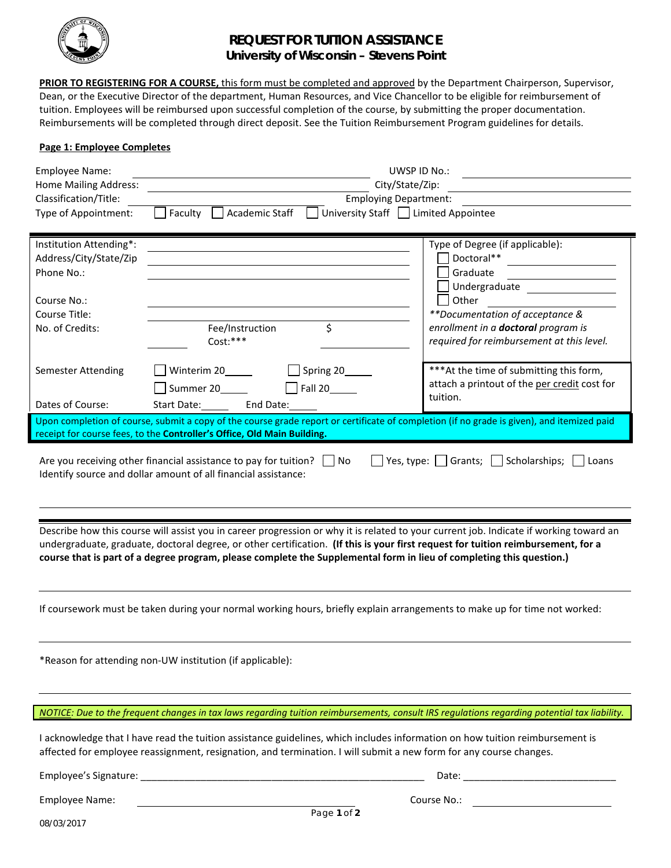

## **REQUEST FOR TUITION ASSISTANCE University of Wisconsin – Stevens Point**

**PRIOR TO REGISTERING FOR A COURSE,** this form must be completed and approved by the Department Chairperson, Supervisor, Dean, or the Executive Director of the department, Human Resources, and Vice Chancellor to be eligible for reimbursement of tuition. Employees will be reimbursed upon successful completion of the course, by submitting the proper documentation. Reimbursements will be completed through direct deposit. See the Tuition Reimbursement Program guidelines for details.

## **Page 1: Employee Completes**

| <b>Employee Name:</b><br><b>Home Mailing Address:</b><br>Classification/Title:<br>Type of Appointment:                                                                                                                                                                                                                                                                                                                                                                                                                                                                                                                         | UWSP ID No.:<br>City/State/Zip:<br><b>Employing Department:</b><br>Faculty<br>Academic Staff<br>University Staff   Limited Appointee                                                                                                               |                                                                                                                                                                                                                   |  |  |  |  |
|--------------------------------------------------------------------------------------------------------------------------------------------------------------------------------------------------------------------------------------------------------------------------------------------------------------------------------------------------------------------------------------------------------------------------------------------------------------------------------------------------------------------------------------------------------------------------------------------------------------------------------|----------------------------------------------------------------------------------------------------------------------------------------------------------------------------------------------------------------------------------------------------|-------------------------------------------------------------------------------------------------------------------------------------------------------------------------------------------------------------------|--|--|--|--|
| Institution Attending*:<br>Address/City/State/Zip<br>Phone No.:<br>Course No.:<br>Course Title:<br>No. of Credits:                                                                                                                                                                                                                                                                                                                                                                                                                                                                                                             | \$<br>Fee/Instruction<br>Cost:***                                                                                                                                                                                                                  | Type of Degree (if applicable):<br>Doctoral**<br>Graduate<br>Undergraduate<br>Other<br>**Documentation of acceptance &<br>enrollment in a <b>doctoral</b> program is<br>required for reimbursement at this level. |  |  |  |  |
| Semester Attending<br>Dates of Course:                                                                                                                                                                                                                                                                                                                                                                                                                                                                                                                                                                                         | Winterim 20<br>Spring 20_____<br>$\Box$ Fall 20<br>Summer 20______<br>Start Date: End Date:                                                                                                                                                        | *** At the time of submitting this form,<br>attach a printout of the per credit cost for<br>tuition.                                                                                                              |  |  |  |  |
|                                                                                                                                                                                                                                                                                                                                                                                                                                                                                                                                                                                                                                | Upon completion of course, submit a copy of the course grade report or certificate of completion (if no grade is given), and itemized paid                                                                                                         |                                                                                                                                                                                                                   |  |  |  |  |
|                                                                                                                                                                                                                                                                                                                                                                                                                                                                                                                                                                                                                                | receipt for course fees, to the Controller's Office, Old Main Building.                                                                                                                                                                            |                                                                                                                                                                                                                   |  |  |  |  |
| $\Box$ Yes, type: $\Box$ Grants; $\Box$ Scholarships; $\Box$<br>Are you receiving other financial assistance to pay for tuition? $\Box$ No<br>  Loans<br>Identify source and dollar amount of all financial assistance:<br>Describe how this course will assist you in career progression or why it is related to your current job. Indicate if working toward an<br>undergraduate, graduate, doctoral degree, or other certification. (If this is your first request for tuition reimbursement, for a<br>course that is part of a degree program, please complete the Supplemental form in lieu of completing this question.) |                                                                                                                                                                                                                                                    |                                                                                                                                                                                                                   |  |  |  |  |
| If coursework must be taken during your normal working hours, briefly explain arrangements to make up for time not worked:                                                                                                                                                                                                                                                                                                                                                                                                                                                                                                     |                                                                                                                                                                                                                                                    |                                                                                                                                                                                                                   |  |  |  |  |
|                                                                                                                                                                                                                                                                                                                                                                                                                                                                                                                                                                                                                                | *Reason for attending non-UW institution (if applicable):                                                                                                                                                                                          |                                                                                                                                                                                                                   |  |  |  |  |
|                                                                                                                                                                                                                                                                                                                                                                                                                                                                                                                                                                                                                                |                                                                                                                                                                                                                                                    | NOTICE: Due to the frequent changes in tax laws regarding tuition reimbursements, consult IRS regulations regarding potential tax liability.                                                                      |  |  |  |  |
|                                                                                                                                                                                                                                                                                                                                                                                                                                                                                                                                                                                                                                | I acknowledge that I have read the tuition assistance guidelines, which includes information on how tuition reimbursement is<br>affected for employee reassignment, resignation, and termination. I will submit a new form for any course changes. |                                                                                                                                                                                                                   |  |  |  |  |
|                                                                                                                                                                                                                                                                                                                                                                                                                                                                                                                                                                                                                                |                                                                                                                                                                                                                                                    |                                                                                                                                                                                                                   |  |  |  |  |
| Employee Name:                                                                                                                                                                                                                                                                                                                                                                                                                                                                                                                                                                                                                 | Course No.:                                                                                                                                                                                                                                        |                                                                                                                                                                                                                   |  |  |  |  |

Page **1** of **2**